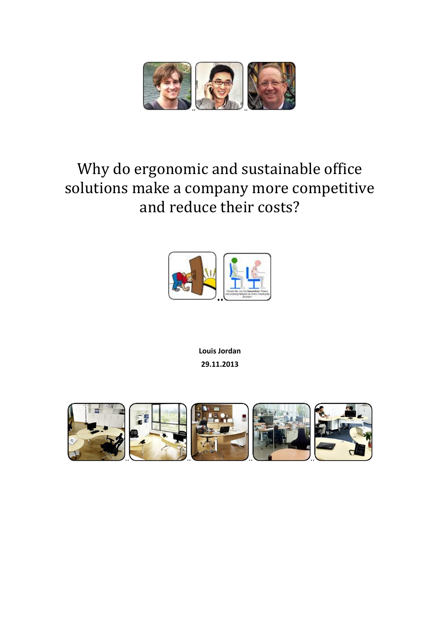

## Why do ergonomic and sustainable office solutions make a company more competitive and reduce their costs?



**Louis Jordan 29.11.2013**

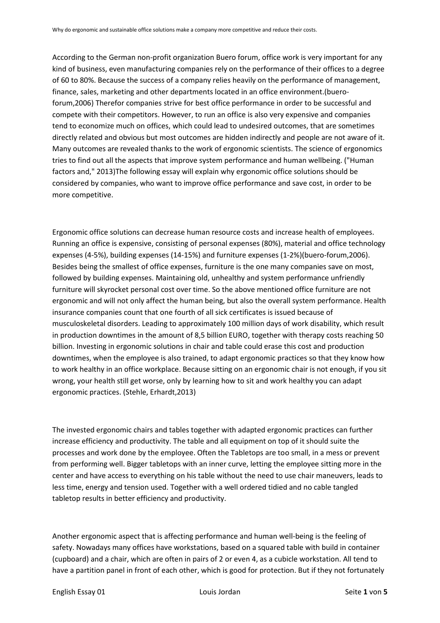According to the German non-profit organization Buero forum, office work is very important for any kind of business, even manufacturing companies rely on the performance of their offices to a degree of 60 to 80%. Because the success of a company relies heavily on the performance of management, finance, sales, marketing and other departments located in an office environment.(bueroforum,2006) Therefor companies strive for best office performance in order to be successful and compete with their competitors. However, to run an office is also very expensive and companies tend to economize much on offices, which could lead to undesired outcomes, that are sometimes directly related and obvious but most outcomes are hidden indirectly and people are not aware of it. Many outcomes are revealed thanks to the work of ergonomic scientists. The science of ergonomics tries to find out all the aspects that improve system performance and human wellbeing. ("Human factors and," 2013)The following essay will explain why ergonomic office solutions should be considered by companies, who want to improve office performance and save cost, in order to be more competitive.

Ergonomic office solutions can decrease human resource costs and increase health of employees. Running an office is expensive, consisting of personal expenses (80%), material and office technology expenses (4-5%), building expenses (14-15%) and furniture expenses (1-2%)(buero-forum,2006). Besides being the smallest of office expenses, furniture is the one many companies save on most, followed by building expenses. Maintaining old, unhealthy and system performance unfriendly furniture will skyrocket personal cost over time. So the above mentioned office furniture are not ergonomic and will not only affect the human being, but also the overall system performance. Health insurance companies count that one fourth of all sick certificates is issued because of musculoskeletal disorders. Leading to approximately 100 million days of work disability, which result in production downtimes in the amount of 8,5 billion EURO, together with therapy costs reaching 50 billion. Investing in ergonomic solutions in chair and table could erase this cost and production downtimes, when the employee is also trained, to adapt ergonomic practices so that they know how to work healthy in an office workplace. Because sitting on an ergonomic chair is not enough, if you sit wrong, your health still get worse, only by learning how to sit and work healthy you can adapt ergonomic practices. (Stehle, Erhardt,2013)

The invested ergonomic chairs and tables together with adapted ergonomic practices can further increase efficiency and productivity. The table and all equipment on top of it should suite the processes and work done by the employee. Often the Tabletops are too small, in a mess or prevent from performing well. Bigger tabletops with an inner curve, letting the employee sitting more in the center and have access to everything on his table without the need to use chair maneuvers, leads to less time, energy and tension used. Together with a well ordered tidied and no cable tangled tabletop results in better efficiency and productivity.

Another ergonomic aspect that is affecting performance and human well-being is the feeling of safety. Nowadays many offices have workstations, based on a squared table with build in container (cupboard) and a chair, which are often in pairs of 2 or even 4, as a cubicle workstation. All tend to have a partition panel in front of each other, which is good for protection. But if they not fortunately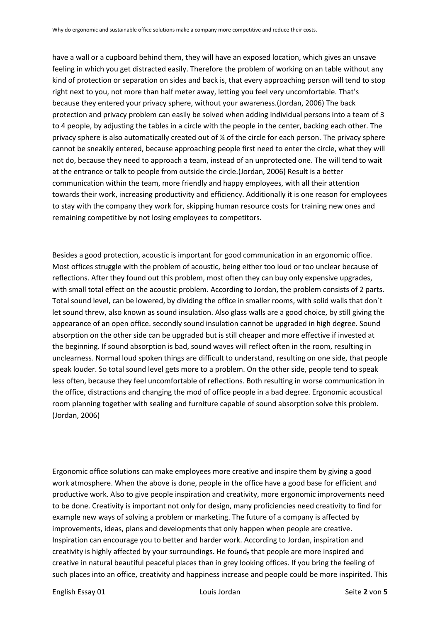have a wall or a cupboard behind them, they will have an exposed location, which gives an unsave feeling in which you get distracted easily. Therefore the problem of working on an table without any kind of protection or separation on sides and back is, that every approaching person will tend to stop right next to you, not more than half meter away, letting you feel very uncomfortable. That's because they entered your privacy sphere, without your awareness.(Jordan, 2006) The back protection and privacy problem can easily be solved when adding individual persons into a team of 3 to 4 people, by adjusting the tables in a circle with the people in the center, backing each other. The privacy sphere is also automatically created out of ¼ of the circle for each person. The privacy sphere cannot be sneakily entered, because approaching people first need to enter the circle, what they will not do, because they need to approach a team, instead of an unprotected one. The will tend to wait at the entrance or talk to people from outside the circle.(Jordan, 2006) Result is a better communication within the team, more friendly and happy employees, with all their attention towards their work, increasing productivity and efficiency. Additionally it is one reason for employees to stay with the company they work for, skipping human resource costs for training new ones and remaining competitive by not losing employees to competitors.

Besides a good protection, acoustic is important for good communication in an ergonomic office. Most offices struggle with the problem of acoustic, being either too loud or too unclear because of reflections. After they found out this problem, most often they can buy only expensive upgrades, with small total effect on the acoustic problem. According to Jordan, the problem consists of 2 parts. Total sound level, can be lowered, by dividing the office in smaller rooms, with solid walls that don´t let sound threw, also known as sound insulation. Also glass walls are a good choice, by still giving the appearance of an open office. secondly sound insulation cannot be upgraded in high degree. Sound absorption on the other side can be upgraded but is still cheaper and more effective if invested at the beginning. If sound absorption is bad, sound waves will reflect often in the room, resulting in unclearness. Normal loud spoken things are difficult to understand, resulting on one side, that people speak louder. So total sound level gets more to a problem. On the other side, people tend to speak less often, because they feel uncomfortable of reflections. Both resulting in worse communication in the office, distractions and changing the mod of office people in a bad degree. Ergonomic acoustical room planning together with sealing and furniture capable of sound absorption solve this problem. (Jordan, 2006)

Ergonomic office solutions can make employees more creative and inspire them by giving a good work atmosphere. When the above is done, people in the office have a good base for efficient and productive work. Also to give people inspiration and creativity, more ergonomic improvements need to be done. Creativity is important not only for design, many proficiencies need creativity to find for example new ways of solving a problem or marketing. The future of a company is affected by improvements, ideas, plans and developments that only happen when people are creative. Inspiration can encourage you to better and harder work. According to Jordan, inspiration and creativity is highly affected by your surroundings. He found, that people are more inspired and creative in natural beautiful peaceful places than in grey looking offices. If you bring the feeling of such places into an office, creativity and happiness increase and people could be more inspirited. This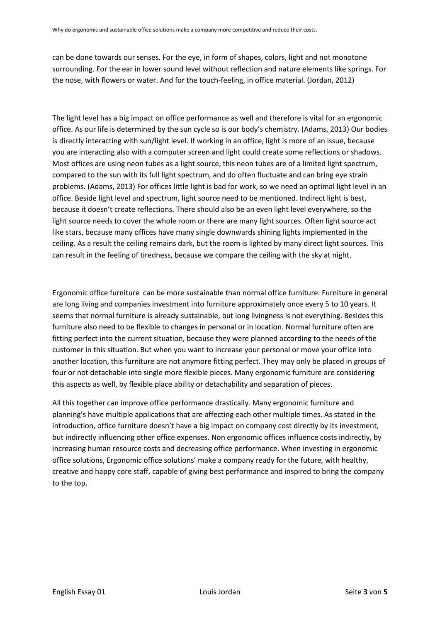can be done towards our senses. For the eye, in form of shapes, colors, light and not monotone surrounding. For the ear in lower sound level without reflection and nature elements like springs. For the nose, with flowers or water. And for the touch-feeling, in office material. (Jordan, 2012)

The light level has a big impact on office performance as well and therefore is vital for an ergonomic office. As our life is determined by the sun cycle so is our body's chemistry. (Adams, 2013) Our bodies is directly interacting with sun/light level. If working in an office, light is more of an issue, because you are interacting also with a computer screen and light could create some reflections or shadows. Most offices are using neon tubes as a light source, this neon tubes are of a limited light spectrum, compared to the sun with its full light spectrum, and do often fluctuate and can bring eye strain problems. (Adams, 2013) For offices little light is bad for work, so we need an optimal light level in an office. Beside light level and spectrum, light source need to be mentioned. Indirect light is best, because it doesn't create reflections. There should also be an even light level everywhere, so the light source needs to cover the whole room or there are many light sources. Often light source act like stars, because many offices have many single downwards shining lights implemented in the ceiling. As a result the ceiling remains dark, but the room is lighted by many direct light sources. This can result in the feeling of tiredness, because we compare the ceiling with the sky at night.

Ergonomic office furniture can be more sustainable than normal office furniture. Furniture in general are long living and companies investment into furniture approximately once every 5 to 10 years. It seems that normal furniture is already sustainable, but long livingness is not everything. Besides this furniture also need to be flexible to changes in personal or in location. Normal furniture often are fitting perfect into the current situation, because they were planned according to the needs of the customer in this situation. But when you want to increase your personal or move your office into another location, this furniture are not anymore fitting perfect. They may only be placed in groups of four or not detachable into single more flexible pieces. Many ergonomic furniture are considering this aspects as well, by flexible place ability or detachability and separation of pieces.

All this together can improve office performance drastically. Many ergonomic furniture and planning's have multiple applications that are affecting each other multiple times. As stated in the introduction, office furniture doesn't have a big impact on company cost directly by its investment, but indirectly influencing other office expenses. Non ergonomic offices influence costs indirectly, by increasing human resource costs and decreasing office performance. When investing in ergonomic office solutions, Ergonomic office solutions' make a company ready for the future, with healthy, creative and happy core staff, capable of giving best performance and inspired to bring the company to the top.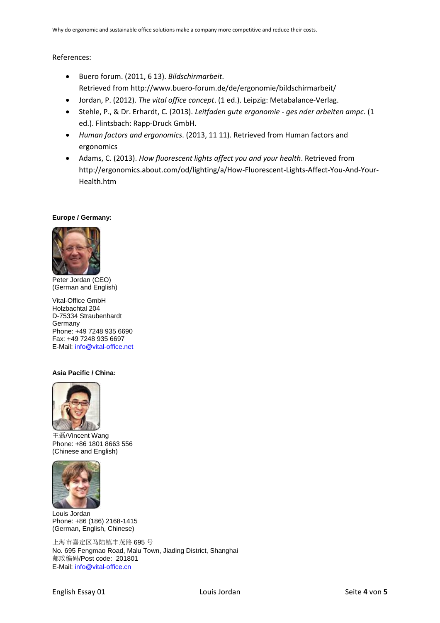## References:

- Buero forum. (2011, 6 13). *Bildschirmarbeit*. Retrieved from<http://www.buero-forum.de/de/ergonomie/bildschirmarbeit/>
- Jordan, P. (2012). *The vital office concept*. (1 ed.). Leipzig: Metabalance-Verlag.
- Stehle, P., & Dr. Erhardt, C. (2013). *Leitfaden gute ergonomie - ges nder arbeiten ampc*. (1 ed.). Flintsbach: Rapp-Druck GmbH.
- *Human factors and ergonomics*. (2013, 11 11). Retrieved from Human factors and ergonomics
- Adams, C. (2013). *How fluorescent lights affect you and your health*. Retrieved from http://ergonomics.about.com/od/lighting/a/How-Fluorescent-Lights-Affect-You-And-Your-Health.htm

## **Europe / Germany:**



Peter Jordan (CEO) (German and English)

Vital-Office GmbH Holzbachtal 204 D-75334 Straubenhardt Germany Phone: +49 7248 935 6690 Fax: +49 7248 935 6697 E-Mail: [info@vital-office.net](mailto:info@vital-office.net)

## **Asia Pacific / China:**



王磊/Vincent Wang Phone: +86 1801 8663 556 (Chinese and English)



Louis Jordan Phone: +86 (186) 2168-1415 (German, English, Chinese)

上海市嘉定区马陆镇丰茂路 695 号 No. 695 Fengmao Road, Malu Town, Jiading District, Shanghai 邮政编码/Post code: 201801 E-Mail: [info@vital-office.cn](mailto:info@vital-office.cn)